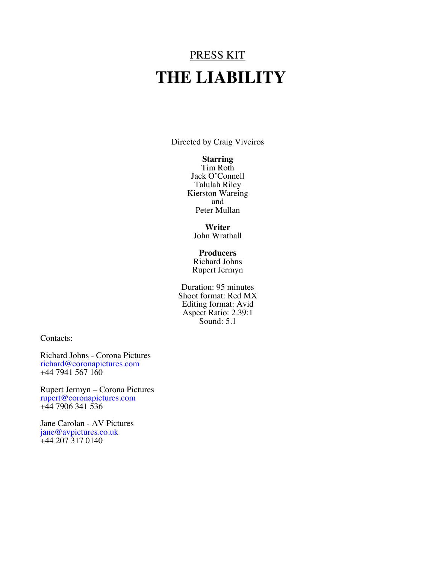# PRESS KIT  **THE LIABILITY**

Directed by Craig Viveiros

#### **Starring**

Tim Roth Jack O'Connell Talulah Riley Kierston Wareing and Peter Mullan

**Writer** John Wrathall

#### **Producers**

Richard Johns Rupert Jermyn

Duration: 95 minutes Shoot format: Red MX Editing format: Avid Aspect Ratio: 2.39:1 Sound: 5.1

Contacts:

Richard Johns - Corona Pictures richard@coronapictures.com  $+44$  7941 567 160

Rupert Jermyn – Corona Pictures rupert@coronapictures.com  $+44$  7906 341 536

Jane Carolan - AV Pictures jane@avpictures.co.uk +44 207 317 0140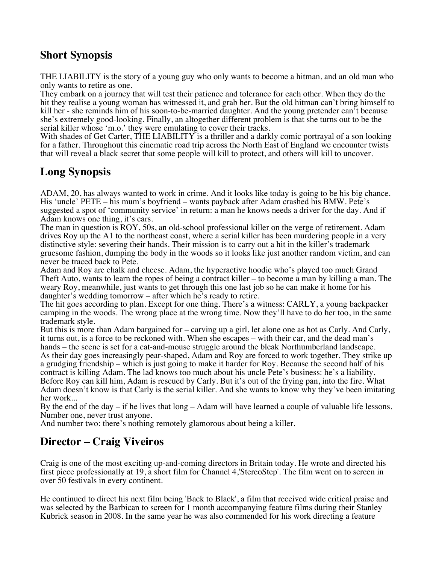### **Short Synopsis**

THE LIABILITY is the story of a young guy who only wants to become a hitman, and an old man who only wants to retire as one.

They embark on a journey that will test their patience and tolerance for each other. When they do the hit they realise a young woman has witnessed it, and grab her. But the old hitman can't bring himself to kill her - she reminds him of his soon-to-be-married daughter. And the young pretender can't because she's extremely good-looking. Finally, an altogether different problem is that she turns out to be the serial killer whose 'm.o.' they were emulating to cover their tracks.

With shades of Get Carter, THE LIABILITY is a thriller and a darkly comic portrayal of a son looking for a father. Throughout this cinematic road trip across the North East of England we encounter twists that will reveal a black secret that some people will kill to protect, and others will kill to uncover.

# **Long Synopsis**

ADAM, 20, has always wanted to work in crime. And it looks like today is going to be his big chance. His 'uncle' PETE – his mum's boyfriend – wants payback after Adam crashed his BMW. Pete's suggested a spot of 'community service' in return: a man he knows needs a driver for the day. And if Adam knows one thing, it's cars.

The man in question is ROY, 50s, an old-school professional killer on the verge of retirement. Adam drives Roy up the A1 to the northeast coast, where a serial killer has been murdering people in a very distinctive style: severing their hands. Their mission is to carry out a hit in the killer's trademark gruesome fashion, dumping the body in the woods so it looks like just another random victim, and can never be traced back to Pete.

Adam and Roy are chalk and cheese. Adam, the hyperactive hoodie who's played too much Grand Theft Auto, wants to learn the ropes of being a contract killer – to become a man by killing a man. The weary Roy, meanwhile, just wants to get through this one last job so he can make it home for his daughter's wedding tomorrow – after which he's ready to retire.

The hit goes according to plan. Except for one thing. There's a witness: CARLY, a young backpacker camping in the woods. The wrong place at the wrong time. Now they'll have to do her too, in the same trademark style.

But this is more than Adam bargained for – carving up a girl, let alone one as hot as Carly. And Carly, it turns out, is a force to be reckoned with. When she escapes – with their car, and the dead man's hands – the scene is set for a cat-and-mouse struggle around the bleak Northumberland landscape. As their day goes increasingly pear-shaped, Adam and Roy are forced to work together. They strike up a grudging friendship – which is just going to make it harder for Roy. Because the second half of his contract is killing Adam. The lad knows too much about his uncle Pete's business: he's a liability.

Before Roy can kill him, Adam is rescued by Carly. But it's out of the frying pan, into the fire. What Adam doesn't know is that Carly is the serial killer. And she wants to know why they've been imitating her work...

By the end of the day – if he lives that long – Adam will have learned a couple of valuable life lessons. Number one, never trust anyone.

And number two: there's nothing remotely glamorous about being a killer.

# **Director – Craig Viveiros**

Craig is one of the most exciting up-and-coming directors in Britain today. He wrote and directed his first piece professionally at 19, a short film for Channel 4,'StereoStep'. The film went on to screen in over 50 festivals in every continent.

He continued to direct his next film being 'Back to Black', a film that received wide critical praise and was selected by the Barbican to screen for 1 month accompanying feature films during their Stanley Kubrick season in 2008. In the same year he was also commended for his work directing a feature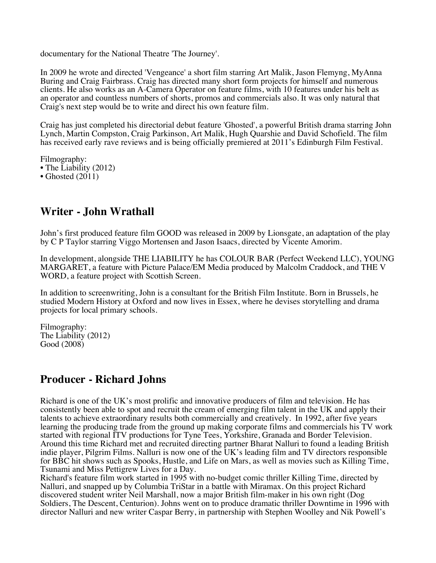documentary for the National Theatre 'The Journey'.

In 2009 he wrote and directed 'Vengeance' a short film starring Art Malik, Jason Flemyng, MyAnna Buring and Craig Fairbrass. Craig has directed many short form projects for himself and numerous clients. He also works as an A-Camera Operator on feature films, with 10 features under his belt as an operator and countless numbers of shorts, promos and commercials also. It was only natural that Craig's next step would be to write and direct his own feature film.

Craig has just completed his directorial debut feature 'Ghosted', a powerful British drama starring John Lynch, Martin Compston, Craig Parkinson, Art Malik, Hugh Quarshie and David Schofield. The film has received early rave reviews and is being officially premiered at 2011's Edinburgh Film Festival.

Filmography:

- The Liability (2012)
- Ghosted  $(2011)$

#### **Writer - John Wrathall**

John's first produced feature film GOOD was released in 2009 by Lionsgate, an adaptation of the play by C P Taylor starring Viggo Mortensen and Jason Isaacs, directed by Vicente Amorim.

In development, alongside THE LIABILITY he has COLOUR BAR (Perfect Weekend LLC), YOUNG MARGARET, a feature with Picture Palace/EM Media produced by Malcolm Craddock, and THE V WORD, a feature project with Scottish Screen.

In addition to screenwriting, John is a consultant for the British Film Institute. Born in Brussels, he studied Modern History at Oxford and now lives in Essex, where he devises storytelling and drama projects for local primary schools.

Filmography: The Liability (2012) Good (2008)

#### **Producer - Richard Johns**

Richard is one of the UK's most prolific and innovative producers of film and television. He has consistently been able to spot and recruit the cream of emerging film talent in the UK and apply their talents to achieve extraordinary results both commercially and creatively. In 1992, after five years learning the producing trade from the ground up making corporate films and commercials his TV work started with regional ITV productions for Tyne Tees, Yorkshire, Granada and Border Television. Around this time Richard met and recruited directing partner Bharat Nalluri to found a leading British indie player, Pilgrim Films. Nalluri is now one of the UK's leading film and TV directors responsible for BBC hit shows such as Spooks, Hustle, and Life on Mars, as well as movies such as Killing Time, Tsunami and Miss Pettigrew Lives for a Day.

Richard's feature film work started in 1995 with no-budget comic thriller Killing Time, directed by Nalluri, and snapped up by Columbia TriStar in a battle with Miramax. On this project Richard discovered student writer Neil Marshall, now a major British film-maker in his own right (Dog Soldiers, The Descent, Centurion). Johns went on to produce dramatic thriller Downtime in 1996 with director Nalluri and new writer Caspar Berry, in partnership with Stephen Woolley and Nik Powell's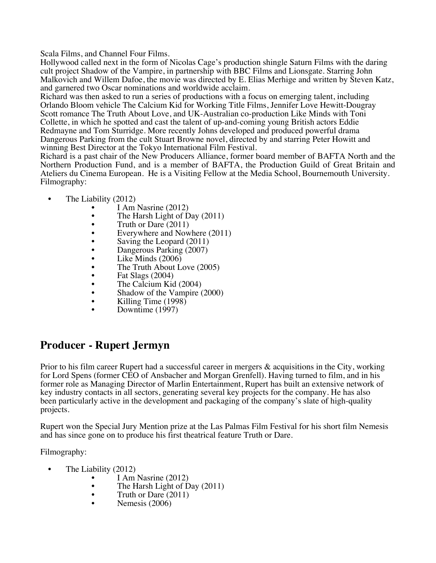Scala Films, and Channel Four Films.

Hollywood called next in the form of Nicolas Cage's production shingle Saturn Films with the daring cult project Shadow of the Vampire, in partnership with BBC Films and Lionsgate. Starring John Malkovich and Willem Dafoe, the movie was directed by E. Elias Merhige and written by Steven Katz, and garnered two Oscar nominations and worldwide acclaim.

Richard was then asked to run a series of productions with a focus on emerging talent, including Orlando Bloom vehicle The Calcium Kid for Working Title Films, Jennifer Love Hewitt-Dougray Scott romance The Truth About Love, and UK-Australian co-production Like Minds with Toni Collette, in which he spotted and cast the talent of up-and-coming young British actors Eddie Redmayne and Tom Sturridge. More recently Johns developed and produced powerful drama Dangerous Parking from the cult Stuart Browne novel, directed by and starring Peter Howitt and winning Best Director at the Tokyo International Film Festival.

Richard is a past chair of the New Producers Alliance, former board member of BAFTA North and the Northern Production Fund, and is a member of BAFTA, the Production Guild of Great Britain and Ateliers du Cinema European. He is a Visiting Fellow at the Media School, Bournemouth University. Filmography:

- The Liability (2012)
	- I Am Nasrine (2012)
	- The Harsh Light of Day  $(2011)$ <br>• Truth or Dare  $(2011)$
	- Truth or Dare (2011)
	- Everywhere and Nowhere  $(2011)$ <br>• Saving the Leopard  $(2011)$
	- Saving the Leopard (2011)
	- Dangerous Parking (2007)
	- Like Minds  $(2006)$
	- The Truth About Love  $(2005)$ <br>• Fat Slags  $(2004)$
	- Fat Slags (2004)<br>• The Calcium Kid
	- The Calcium Kid (2004)
	- Shadow of the Vampire (2000)
	- Killing Time (1998)
	- Downtime (1997)

### **Producer - Rupert Jermyn**

Prior to his film career Rupert had a successful career in mergers & acquisitions in the City, working for Lord Spens (former CEO of Ansbacher and Morgan Grenfell). Having turned to film, and in his former role as Managing Director of Marlin Entertainment, Rupert has built an extensive network of key industry contacts in all sectors, generating several key projects for the company. He has also been particularly active in the development and packaging of the company's slate of high-quality projects.

Rupert won the Special Jury Mention prize at the Las Palmas Film Festival for his short film Nemesis and has since gone on to produce his first theatrical feature Truth or Dare.

Filmography:

- 
- The Liability  $(2012)$ <br>• I Am Nasrine  $(2012)$ 
	- The Harsh Light of Day (2011)<br>• Truth or Dare (2011)<br>• Nemesis (2006)
	-
	-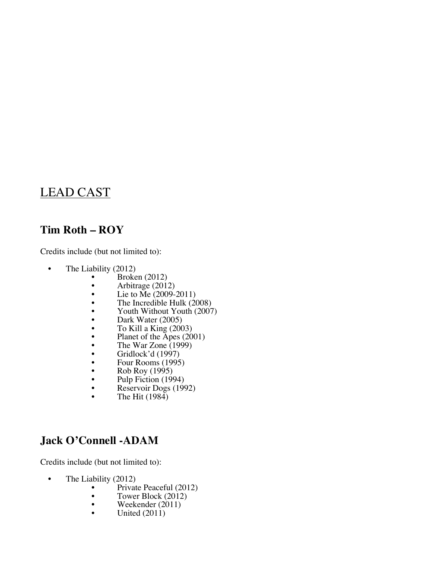# LEAD CAST

#### **Tim Roth – ROY**

Credits include (but not limited to):

- The Liability (2012)
	- Broken  $(2012)$ <br>• Arbitrage  $(2012)$
	- Arbitrage  $(2012)$ <br>• Lie to Me  $(2009-$
	- Lie to  $\text{Me}$  (2009-2011)<br>• The Incredible Hulk (20
	- The Incredible Hulk (2008)<br>• Youth Without Youth (2007)
	- Youth Without Youth (2007)<br>• Dark Water (2005)
	- Dark Water  $(2005)$ <br>• To Kill a King  $(200$
	- To Kill a King  $(2003)$
	- Planet of the  $\overline{A}$ pes (2001)
	- The War Zone  $(1999)$ <br>• Gridlock'd  $(1997)$
	- Gridlock'd (1997)
	- Four Rooms  $(1995)$ <br>• Rob Roy  $(1995)$
	- Rob Roy (1995)<br>• Pulp Fiction (199
	- Pulp Fiction (1994)<br>• Reservoir Doss (199
	- Reservoir Dogs  $(1992)$ <br>• The Hit  $(1984)$
	- The Hit  $(1984)$

#### **Jack O'Connell -ADAM**

Credits include (but not limited to):

- The Liability (2012)
	- Private Peaceful (2012)
	- Tower Block (2012)
	- Weekender (2011)
	- United (2011)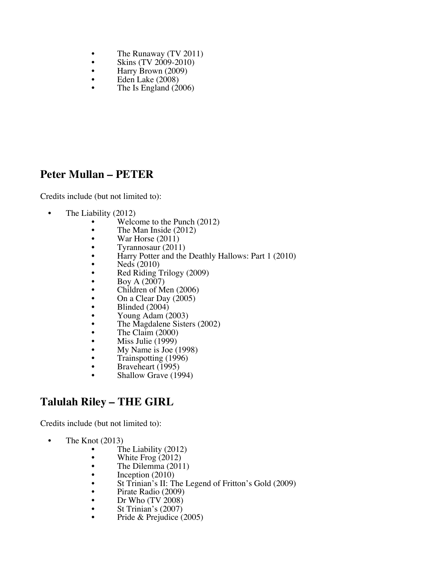- The Runaway  $(TV 2011)$ <br>• Skins  $(TV 2009-2010)$
- Skins (TV 2009-2010)<br>• Harry Brown (2009)
- Harry Brown  $(2009)$ <br>• Eden Lake  $(2008)$
- Eden Lake (2008)
- The Is England (2006)

#### **Peter Mullan – PETER**

Credits include (but not limited to):

- The Liability (2012)
	- Welcome to the Punch  $(2012)$ <br>• The Man Inside  $(2012)$
	- The Man Inside  $(2012)$ <br>• War Horse  $(2011)$
	- War Horse  $(2011)$ <br>• Tyrannosaur  $(2011)$
	- Tyrannosaur (2011)
	- Harry Potter and the Deathly Hallows: Part 1 (2010)<br>• Neds (2010)
	- Neds (2010)
	- Red Riding Trilogy (2009)
	- Boy A (2007)
	- Children of Men (2006)
	- On a Clear Day (2005)
	- Blinded (2004)
	- Young Adam (2003)
	- The Magdalene Sisters (2002)
	- The Claim (2000)
	- Miss Julie  $(1999)$ <br>• My Name is Loe (
	- My Name is Joe (1998)
	- Trainspotting (1996)
	- Braveheart (1995)
	- Shallow Grave (1994)

### **Talulah Riley – THE GIRL**

Credits include (but not limited to):

- The Knot (2013)
	- The Liability (2012)
	- White Frog  $(2012)$ <br>• The Dilemma  $(201)$
	- The Dilemma (2011)<br>• Inception (2010)
	-
	- St Trinian's II: The Legend of Fritton's Gold (2009)
	- Pirate Radio (2009)
	- Dr Who  $(TV 2008)$ <br>• St Trinian's  $(2007)$
	-
	- St Trinian's (2007)<br>• Pride & Prejudice (2005)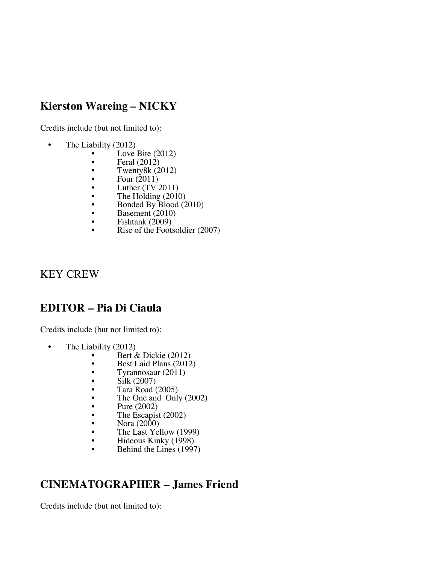## **Kierston Wareing – NICKY**

Credits include (but not limited to):

- The Liability (2012)
	- Love Bite  $(2012)$ <br>• Feral  $(2012)$
	- Feral  $(2012)$ <br>• Twenty8k  $(2)$
	- Twenty8k  $(2012)$ <br>• Four  $(2011)$
	- Four  $(2011)$ <br>• Luther  $(TV)$
	- Luther  $(TV 2011)$ <br>• The Holding  $(2010)$
	- The Holding (2010)
	- Bonded By  $\widehat{B}$ lood (2010)
	- Basement  $(2010)$ <br>• Fishtank  $(2009)$
	- Fishtank  $(2009)$ <br>• Rise of the Foots
	- Rise of the Footsoldier (2007)

#### KEY CREW

#### **EDITOR – Pia Di Ciaula**

Credits include (but not limited to):

- The Liability (2012)
	- Bert & Dickie (2012)
	- Best Laid Plans  $(2012)$ <br>• Tyrannosaur  $(2011)$
	- Tyrannosaur (2011)
	-
	-
	- Tara Road (2005)<br>
	 The One and Only (2002)<br>
	 Pure (2002)<br>
	 The Escapist (2002)<br>
	 Nora (2000)<br>
	 The Last Yellow (1999)
	-
	-
	-
	-
	- Hideous Kinky (1998)
	- Behind the Lines (1997)

# **CINEMATOGRAPHER – James Friend**

Credits include (but not limited to):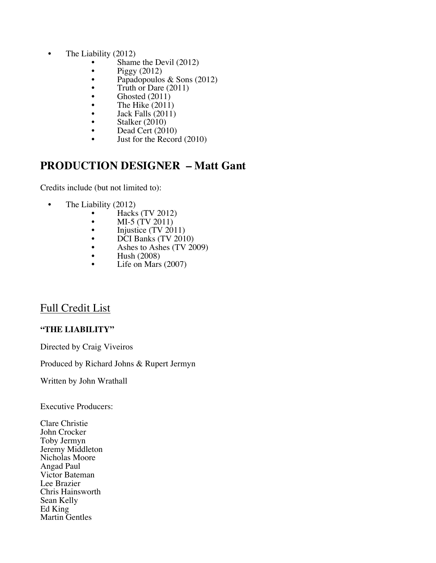- The Liability (2012)
	- Shame the Devil  $(2012)$ <br>• Piggy  $(2012)$
	- Piggy (2012)<br>• Papadopoulos
	- Papadopoulos & Sons  $(2012)$ <br>• Truth or Dare  $(2011)$
	- Truth or Dare  $(2011)$ <br>• Ghosted  $(2011)$
	- Ghosted  $(2011)$ <br>• The Hike  $(2011)$
	- The Hike  $(2011)$ <br>• Iack Falls  $(2011)$
	- Jack Falls (2011)
	- Stalker (2010)
	- Dead Cert (2010)
	- Just for the Record (2010)

#### **PRODUCTION DESIGNER – Matt Gant**

Credits include (but not limited to):

- The Liability (2012)
	- Hacks (TV 2012)
	- MI-5  $(TV 2011)$ <br>• Injustice  $(TV 20)$
	- Injustice (TV 2011)<br>• DCI Banks (TV 201
	- DCI Banks (TV 2010)<br>• Ashes to Ashes (TV 20
	- Ashes to Ashes  $(TV 2009)$ <br>• Hush  $(2008)$
	- Hush  $(2008)$ <br>• Life on Mars
	- Life on Mars (2007)

#### Full Credit List

#### **"THE LIABILITY"**

Directed by Craig Viveiros

Produced by Richard Johns & Rupert Jermyn

Written by John Wrathall

Executive Producers:

Clare Christie John Crocker Toby Jermyn Jeremy Middleton Nicholas Moore Angad Paul Victor Bateman Lee Brazier Chris Hainsworth Sean Kelly Ed King Martin Gentles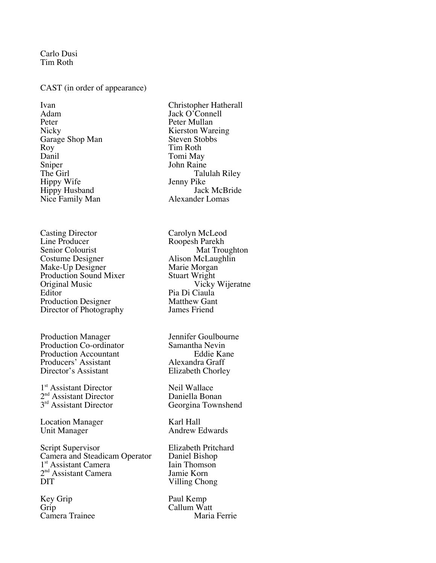Carlo Dusi Tim Roth

#### CAST (in order of appearance)

Adam Jack O'Connell<br>Peter Hullan Peter Peter Mullan<br>Nicky Rierston War Garage Shop Man<br>Roy Roy Tim Roth<br>Danil Tomi May Danil Tomi May Sniper John Raine<br>The Girl Talu Hippy Husband<br>
Nice Family Man<br>
Nice Family Man<br>
Alexander Lomas Nice Family Man

Casting Director Carolyn McLeod<br>
Line Producer Roopesh Parekh Line Producer<br>
Senior Colourist<br>
Mat Trou Senior Colourist<br>
Costume Designer<br>
Mat Troughton<br>
Alison McLaughlin Make-Up Designer Marie Morgan<br>Production Sound Mixer Stuart Wright Production Sound Mixer<br>Original Music Original Music Vicky Wijeratne<br>
Editor Pia Di Ciaula Production Designer<br>
Director of Photography<br>
James Friend Director of Photography

Production Manager **1988** Jennifer Goulbourne<br>Production Co-ordinator **1988** Samantha Nevin Production Co-ordinator Samantha Nevin<br>Production Accountant Eddie Kane Production Accountant Producers' Assistant Alexandra Graff<br>
Director's Assistant Elizabeth Chorley Director's Assistant

 $1<sup>st</sup>$  Assistant Director Neil Wallace<br>  $2<sup>nd</sup>$  Assistant Director Daniella Bonan 2<sup>nd</sup> Assistant Director Daniella Bonan

Location Manager<br>
Unit Manager<br>
Andrew E

Script Supervisor Elizabeth Pritchard Camera and Steadicam Operator Daniel Bishop<br>
1<sup>st</sup> Assistant Camera (Iain Thomson 1<sup>st</sup> Assistant Camera<br>
2<sup>nd</sup> Assistant Camera<br>
1amie Korn  $2<sup>nd</sup>$  Assistant Camera DIT Villing Chong

Key Grip Paul Kemp Camera Trainee

Ivan Christopher Hatherall<br>Adam Jack O'Connell Kierston Wareing<br>Steven Stobbs The Girl Talulah Riley<br>
Hippy Wife Senny Pike Jenny Pike<br>Jack McBride

> Alison McLaughlin<br>Marie Morgan Pia Di Ciaula<br>Matthew Gant

3<sup>rd</sup> Assistant Director Georgina Townshend

Andrew Edwards

Grip Callum Watt<br>Camera Trainee Maria Ferrie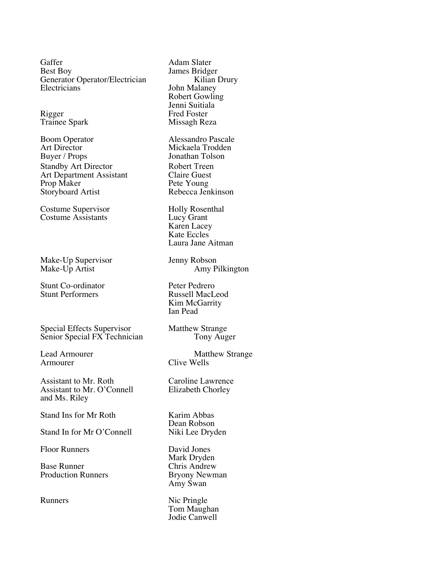Gaffer Adam Slater<br>Best Boy James Bridge Generator Operator/Electrician<br>Electricians

Trainee Spark

Boom Operator Alessandro Pascale Art Director Mickaela Trodden<br>Buyer / Props Jonathan Tolson Standby Art Director Robert Treen<br>Art Department Assistant Claire Guest Art Department Assistant Claire Guest<br>
Prop Maker Pete Young Prop Maker<br>Storvboard Artist Pete Young<br>Rebecca Jenkinson Storyboard Artist

Costume Supervisor<br>
Costume Assistants<br>
Costume Assistants<br>
Cucy Grant Costume Assistants

Make-Up Supervisor Jenny Robson<br>
Make-Up Artist Amy P

Stunt Co-ordinator Peter Pedrero<br>
Stunt Performers Russell MacL

Special Effects Supervisor<br>
Senior Special FX Technician<br>
Tony Auger Senior Special FX Technician

Assistant to Mr. Roth Caroline Lawrence Assistant to Mr. O'Connell Elizabeth Chorley and Ms. Riley

Stand Ins for Mr Roth Karim Abbas

Stand In for Mr O'Connell

Floor Runners David Jones

Base Runner Chris Andrew Production Runners Bryony Newman

James Bridger<br>Kilian Drury John Malaney Robert Gowling Jenni Suitiala Rigger Fred Foster<br>Trainee Spark Fred Foster<br>Missagh Reza Jonathan Tolson Karen Lacey

Kate Eccles Laura Jane Aitman

Amy Pilkington

Russell MacLeod Kim McGarrity Ian Pead

Lead Armourer Matthew Strange<br>Armourer Clive Wells Clive Wells

Dean Robson<br>Niki Lee Dryden

Mark Dryden Amy Swan

Runners Nic Pringle Tom Maughan Jodie Canwell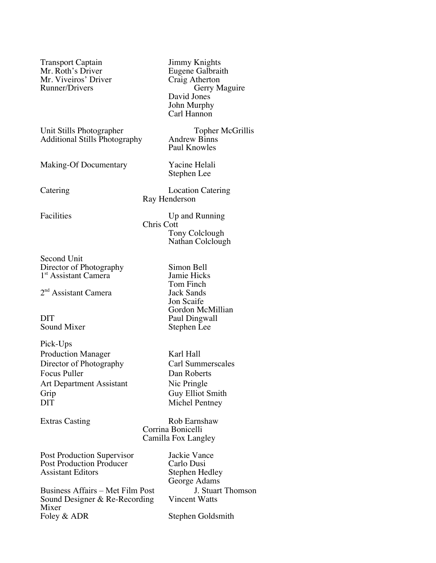Transport Captain Jimmy Knights Mr. Roth's Driver<br>
Mr. Viveiros' Driver<br>
Craig Atherton Mr. Viveiros' Driver<br>Runner/Drivers

Unit Stills Photographer<br>
Additional Stills Photography<br>
Andrew Binns Additional Stills Photography

Making-Of Documentary Yacine Helali

Catering Location Catering Ray Henderson

Chris Cott

David Jones John Murphy Carl Hannon

Paul Knowles

Stephen Lee

Tony Colclough Nathan Colclough

Tom Finch<br>Jack Sands

Jon Scaife

Stephen Lee

Gordon McMillian

Gerry Maguire

Facilities Up and Running

Second Unit Director of Photography<br>
1<sup>st</sup> Assistant Camera<br>
1<sup>st</sup> Assistant Camera<br>
1 1<sup>st</sup> Assistant Camera

 $2<sup>nd</sup>$  Assistant Camera

DIT Paul Dingwall<br>Sound Mixer Stephen Lee

Pick-Ups Production Manager Karl Hall Director of Photography Carl Summerscales Focus Puller Dan Roberts Art Department Assistant Nic Pringle Grip Guy Elliot Smith DIT Michel Pentney

Extras Casting Rob Earnshaw Corrina Bonicelli Camilla Fox Langley

Post Production Supervisor Jackie Vance Post Production Producer Carlo Dusi<br>
Assistant Editors Stephen He

Business Affairs – Met Film Post J. Stuart Thomson<br>Sound Designer & Re-Recording Vincent Watts Sound Designer  $&$  Re-Recording Mixer<br>Foley & ADR

Stephen Hedley George Adams

Stephen Goldsmith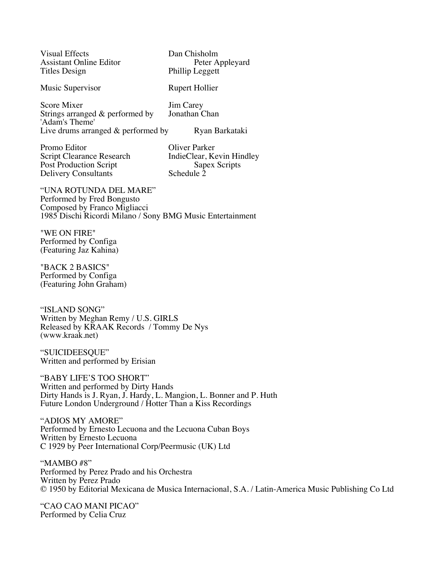| <b>Visual Effects</b>                                                                                    | Dan Chisholm                                        |
|----------------------------------------------------------------------------------------------------------|-----------------------------------------------------|
| <b>Assistant Online Editor</b>                                                                           | Peter Appleyard                                     |
| Titles Design                                                                                            | Phillip Leggett                                     |
| Music Supervisor                                                                                         | Rupert Hollier                                      |
| Score Mixer<br>Strings arranged & performed by<br>'Adam's Theme'<br>Live drums arranged $&$ performed by | <b>Jim Carey</b><br>Jonathan Chan<br>Ryan Barkataki |
| Promo Editor                                                                                             | Oliver Parker                                       |
| Script Clearance Research                                                                                | IndieClear Kevin Hind                               |

Post Production Script<br>
Delivery Consultants<br>
Schedule 2 Delivery Consultants

Script Clearance Research IndieClear, Kevin Hindley<br>Post Production Script Sapex Scripts

"UNA ROTUNDA DEL MARE" Performed by Fred Bongusto Composed by Franco Migliacci 1985 Dischi Ricordi Milano / Sony BMG Music Entertainment

"WE ON FIRE" Performed by Configa (Featuring Jaz Kahina)

"BACK 2 BASICS" Performed by Configa (Featuring John Graham)

"ISLAND SONG" Written by Meghan Remy / U.S. GIRLS Released by KRAAK Records / Tommy De Nys (www.kraak.net)

"SUICIDEESQUE" Written and performed by Erisian

"BABY LIFE'S TOO SHORT" Written and performed by Dirty Hands Dirty Hands is J. Ryan, J. Hardy, L. Mangion, L. Bonner and P. Huth Future London Underground / Hotter Than a Kiss Recordings

"ADIOS MY AMORE" Performed by Ernesto Lecuona and the Lecuona Cuban Boys Written by Ernesto Lecuona C 1929 by Peer International Corp/Peermusic (UK) Ltd

"MAMBO #8" Performed by Perez Prado and his Orchestra Written by Perez Prado © 1950 by Editorial Mexicana de Musica Internacional, S.A. / Latin-America Music Publishing Co Ltd

"CAO CAO MANI PICAO" Performed by Celia Cruz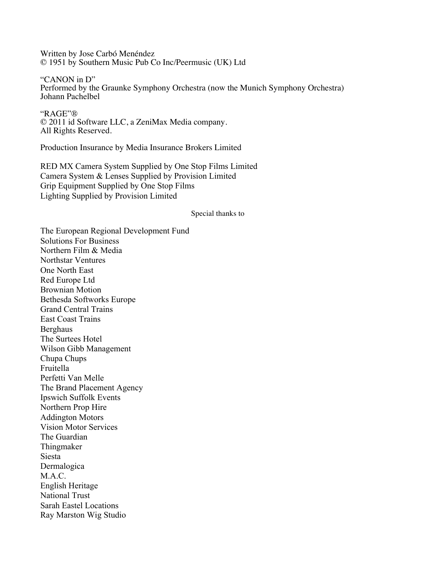Written by Jose Carbó Menéndez © 1951 by Southern Music Pub Co Inc/Peermusic (UK) Ltd

"CANON in D" Performed by the Graunke Symphony Orchestra (now the Munich Symphony Orchestra) Johann Pachelbel

"RAGE"® © 2011 id Software LLC, a ZeniMax Media company. All Rights Reserved.

Production Insurance by Media Insurance Brokers Limited

RED MX Camera System Supplied by One Stop Films Limited Camera System & Lenses Supplied by Provision Limited Grip Equipment Supplied by One Stop Films Lighting Supplied by Provision Limited

#### Special thanks to

The European Regional Development Fund Solutions For Business Northern Film & Media Northstar Ventures One North East Red Europe Ltd Brownian Motion Bethesda Softworks Europe Grand Central Trains East Coast Trains Berghaus The Surtees Hotel Wilson Gibb Management Chupa Chups Fruitella Perfetti Van Melle The Brand Placement Agency Ipswich Suffolk Events Northern Prop Hire Addington Motors Vision Motor Services The Guardian Thingmaker Siesta Dermalogica M.A.C. English Heritage National Trust Sarah Eastel Locations Ray Marston Wig Studio